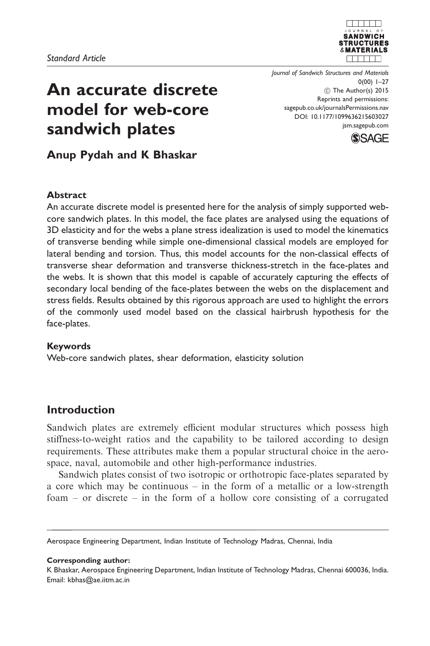

# An accurate discrete model for web-core sandwich plates

Journal of Sandwich Structures and Materials 0(00) 1–27 (c) The Author(s) 2015 Reprints and permissions: sagepub.co.uk/journalsPermissions.nav DOI: 10.1177/1099636215603027 jsm.sagepub.com



Anup Pydah and K Bhaskar

## Abstract

An accurate discrete model is presented here for the analysis of simply supported webcore sandwich plates. In this model, the face plates are analysed using the equations of 3D elasticity and for the webs a plane stress idealization is used to model the kinematics of transverse bending while simple one-dimensional classical models are employed for lateral bending and torsion. Thus, this model accounts for the non-classical effects of transverse shear deformation and transverse thickness-stretch in the face-plates and the webs. It is shown that this model is capable of accurately capturing the effects of secondary local bending of the face-plates between the webs on the displacement and stress fields. Results obtained by this rigorous approach are used to highlight the errors of the commonly used model based on the classical hairbrush hypothesis for the face-plates.

# Keywords

Web-core sandwich plates, shear deformation, elasticity solution

# Introduction

Sandwich plates are extremely efficient modular structures which possess high stiffness-to-weight ratios and the capability to be tailored according to design requirements. These attributes make them a popular structural choice in the aerospace, naval, automobile and other high-performance industries.

Sandwich plates consist of two isotropic or orthotropic face-plates separated by a core which may be continuous – in the form of a metallic or a low-strength foam – or discrete – in the form of a hollow core consisting of a corrugated

Corresponding author:

Aerospace Engineering Department, Indian Institute of Technology Madras, Chennai, India

K Bhaskar, Aerospace Engineering Department, Indian Institute of Technology Madras, Chennai 600036, India. Email: kbhas@ae.iitm.ac.in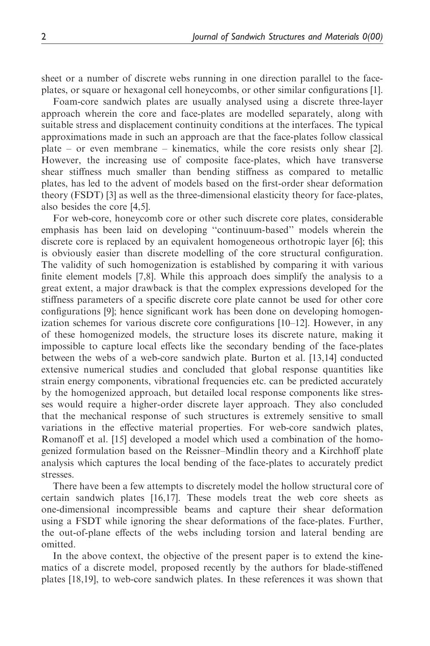sheet or a number of discrete webs running in one direction parallel to the faceplates, or square or hexagonal cell honeycombs, or other similar configurations [1].

Foam-core sandwich plates are usually analysed using a discrete three-layer approach wherein the core and face-plates are modelled separately, along with suitable stress and displacement continuity conditions at the interfaces. The typical approximations made in such an approach are that the face-plates follow classical plate – or even membrane – kinematics, while the core resists only shear [2]. However, the increasing use of composite face-plates, which have transverse shear stiffness much smaller than bending stiffness as compared to metallic plates, has led to the advent of models based on the first-order shear deformation theory (FSDT) [3] as well as the three-dimensional elasticity theory for face-plates, also besides the core [4,5].

For web-core, honeycomb core or other such discrete core plates, considerable emphasis has been laid on developing ''continuum-based'' models wherein the discrete core is replaced by an equivalent homogeneous orthotropic layer [6]; this is obviously easier than discrete modelling of the core structural configuration. The validity of such homogenization is established by comparing it with various finite element models [7,8]. While this approach does simplify the analysis to a great extent, a major drawback is that the complex expressions developed for the stiffness parameters of a specific discrete core plate cannot be used for other core configurations [9]; hence significant work has been done on developing homogenization schemes for various discrete core configurations [10–12]. However, in any of these homogenized models, the structure loses its discrete nature, making it impossible to capture local effects like the secondary bending of the face-plates between the webs of a web-core sandwich plate. Burton et al. [13,14] conducted extensive numerical studies and concluded that global response quantities like strain energy components, vibrational frequencies etc. can be predicted accurately by the homogenized approach, but detailed local response components like stresses would require a higher-order discrete layer approach. They also concluded that the mechanical response of such structures is extremely sensitive to small variations in the effective material properties. For web-core sandwich plates, Romanoff et al. [15] developed a model which used a combination of the homogenized formulation based on the Reissner–Mindlin theory and a Kirchhoff plate analysis which captures the local bending of the face-plates to accurately predict stresses.

There have been a few attempts to discretely model the hollow structural core of certain sandwich plates [16,17]. These models treat the web core sheets as one-dimensional incompressible beams and capture their shear deformation using a FSDT while ignoring the shear deformations of the face-plates. Further, the out-of-plane effects of the webs including torsion and lateral bending are omitted.

In the above context, the objective of the present paper is to extend the kinematics of a discrete model, proposed recently by the authors for blade-stiffened plates [18,19], to web-core sandwich plates. In these references it was shown that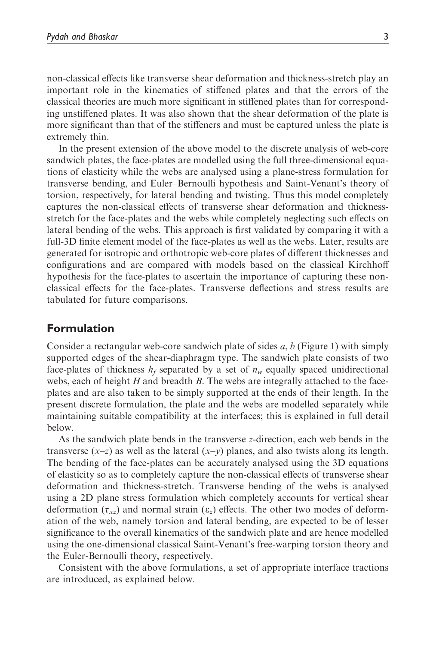non-classical effects like transverse shear deformation and thickness-stretch play an important role in the kinematics of stiffened plates and that the errors of the classical theories are much more significant in stiffened plates than for corresponding unstiffened plates. It was also shown that the shear deformation of the plate is more significant than that of the stiffeners and must be captured unless the plate is extremely thin.

In the present extension of the above model to the discrete analysis of web-core sandwich plates, the face-plates are modelled using the full three-dimensional equations of elasticity while the webs are analysed using a plane-stress formulation for transverse bending, and Euler–Bernoulli hypothesis and Saint-Venant's theory of torsion, respectively, for lateral bending and twisting. Thus this model completely captures the non-classical effects of transverse shear deformation and thicknessstretch for the face-plates and the webs while completely neglecting such effects on lateral bending of the webs. This approach is first validated by comparing it with a full-3D finite element model of the face-plates as well as the webs. Later, results are generated for isotropic and orthotropic web-core plates of different thicknesses and configurations and are compared with models based on the classical Kirchhoff hypothesis for the face-plates to ascertain the importance of capturing these nonclassical effects for the face-plates. Transverse deflections and stress results are tabulated for future comparisons.

# Formulation

Consider a rectangular web-core sandwich plate of sides  $a, b$  (Figure 1) with simply supported edges of the shear-diaphragm type. The sandwich plate consists of two face-plates of thickness  $h_f$  separated by a set of  $n_w$  equally spaced unidirectional webs, each of height H and breadth B. The webs are integrally attached to the faceplates and are also taken to be simply supported at the ends of their length. In the present discrete formulation, the plate and the webs are modelled separately while maintaining suitable compatibility at the interfaces; this is explained in full detail below.

As the sandwich plate bends in the transverse z-direction, each web bends in the transverse  $(x-z)$  as well as the lateral  $(x-y)$  planes, and also twists along its length. The bending of the face-plates can be accurately analysed using the 3D equations of elasticity so as to completely capture the non-classical effects of transverse shear deformation and thickness-stretch. Transverse bending of the webs is analysed using a 2D plane stress formulation which completely accounts for vertical shear deformation  $(\tau_{xz})$  and normal strain  $(\varepsilon_z)$  effects. The other two modes of deformation of the web, namely torsion and lateral bending, are expected to be of lesser significance to the overall kinematics of the sandwich plate and are hence modelled using the one-dimensional classical Saint-Venant's free-warping torsion theory and the Euler-Bernoulli theory, respectively.

Consistent with the above formulations, a set of appropriate interface tractions are introduced, as explained below.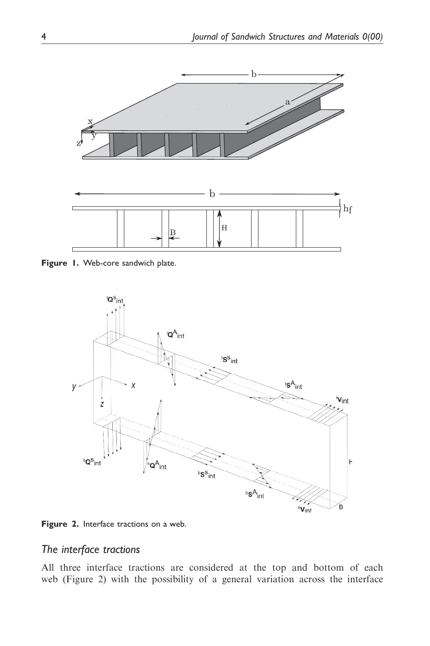

Figure 1. Web-core sandwich plate.



Figure 2. Interface tractions on a web.

# The interface tractions

All three interface tractions are considered at the top and bottom of each web (Figure 2) with the possibility of a general variation across the interface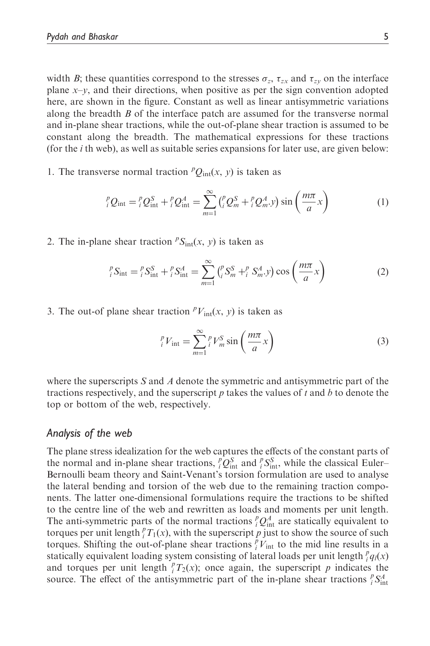width *B*; these quantities correspond to the stresses  $\sigma_z$ ,  $\tau_{zx}$  and  $\tau_{zy}$  on the interface plane  $x-y$ , and their directions, when positive as per the sign convention adopted here, are shown in the figure. Constant as well as linear antisymmetric variations along the breadth B of the interface patch are assumed for the transverse normal and in-plane shear tractions, while the out-of-plane shear traction is assumed to be constant along the breadth. The mathematical expressions for these tractions (for the i th web), as well as suitable series expansions for later use, are given below:

1. The transverse normal traction  ${}^pQ_{int}(x, y)$  is taken as

$$
{}_{i}^{p}Q_{int} = {}_{i}^{p}Q_{int}^{S} + {}_{i}^{p}Q_{int}^{A} = \sum_{m=1}^{\infty} \left( {}_{i}^{p}Q_{m}^{S} + {}_{i}^{p}Q_{m}^{A} \cdot y \right) \sin \left( \frac{m\pi}{a} x \right)
$$
(1)

2. The in-plane shear traction  ${}^pS_{\text{int}}(x, y)$  is taken as

$$
{}_{i}^{p}S_{\text{int}} = {}_{i}^{p}S_{\text{int}}^{S} + {}_{i}^{p}S_{\text{int}}^{A} = \sum_{m=1}^{\infty} \left( {}_{i}^{p}S_{m}^{S} + {}_{i}^{p}S_{m}^{A} \cdot y \right) \cos \left( \frac{m\pi}{a} x \right)
$$
(2)

3. The out-of plane shear traction  ${}^pV_{int}(x, y)$  is taken as

$$
{}_{i}^{p}V_{\text{int}} = \sum_{m=1}^{\infty} {}_{i}^{p}V_{m}^{S} \sin\left(\frac{m\pi}{a}x\right)
$$
 (3)

where the superscripts  $S$  and  $\Lambda$  denote the symmetric and antisymmetric part of the tractions respectively, and the superscript  $p$  takes the values of  $t$  and  $b$  to denote the top or bottom of the web, respectively.

#### Analysis of the web

The plane stress idealization for the web captures the effects of the constant parts of the normal and in-plane shear tractions,  ${}_{i}^{p}Q_{int}^{S}$  and  ${}_{i}^{p}S_{int}^{S}$ , while the classical Euler– Bernoulli beam theory and Saint-Venant's torsion formulation are used to analyse the lateral bending and torsion of the web due to the remaining traction components. The latter one-dimensional formulations require the tractions to be shifted to the centre line of the web and rewritten as loads and moments per unit length. The anti-symmetric parts of the normal tractions  $_{i}^{p}Q_{\text{int}}^{A}$  are statically equivalent to torques per unit length  $_{i}^{p}T_{1}(x)$ , with the superscript p just to show the source of such torques. Shifting the out-of-plane shear tractions  $\frac{\partial}{\partial V_{\text{int}}}$  to the mid line results in a statically equivalent loading system consisting of lateral loads per unit length  $_{i}^{p}q_{l}(x)$ and torques per unit length  $\frac{p}{i}T_2(x)$ ; once again, the superscript p indicates the source. The effect of the antisymmetric part of the in-plane shear tractions  ${}^p_i S^A_{int}$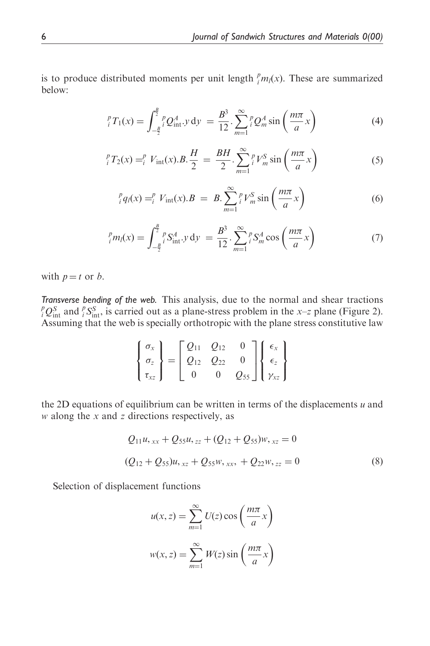is to produce distributed moments per unit length  $_{i}^{p}m_{l}(x)$ . These are summarized below:

$$
{}_{i}^{p}T_{1}(x) = \int_{-\frac{B}{2}}^{\frac{B}{2}} {}_{p}^{p}Q_{\text{int}}^{A} y \, \mathrm{d}y = \frac{B^{3}}{12} \cdot \sum_{m=1}^{\infty} {}_{i}^{p}Q_{m}^{A} \sin\left(\frac{m\pi}{a}x\right) \tag{4}
$$

$$
{}_{i}^{p}T_{2}(x) = {}_{i}^{p}V_{\text{int}}(x).B. \frac{H}{2} = \frac{BH}{2} \cdot \sum_{m=1}^{\infty} {}_{i}^{p}V_{m}^{S}\sin\left(\frac{m\pi}{a}x\right)
$$
(5)

$$
{}_{i}^{p}q_{l}(x) = {}_{i}^{p} V_{\text{int}}(x).B = B. \sum_{m=1}^{\infty} {}_{i}^{p} V_{m}^{S} \sin\left(\frac{m\pi}{a}x\right)
$$
(6)

$$
{}_{i}^{p}m_{l}(x) = \int_{-\frac{B}{2}}^{\frac{B}{2}} {}_{i}^{p}S_{\text{int}}^{A}.y \,dy = \frac{B^{3}}{12} \cdot \sum_{m=1}^{\infty} {}_{i}^{p}S_{m}^{A} \cos\left(\frac{m\pi}{a}x\right)
$$
(7)

with  $p = t$  or b.

Transverse bending of the web. This analysis, due to the normal and shear tractions  ${}_{i}^{p}Q_{\text{int}}^{S}$  and  ${}_{i}^{p}S_{\text{int}}^{S}$ , is carried out as a plane-stress problem in the x-z plane (Figure 2). Assuming that the web is specially orthotropic with the plane stress constitutive law

$$
\begin{Bmatrix} \sigma_x \\ \sigma_z \\ \tau_{xz} \end{Bmatrix} = \begin{bmatrix} Q_{11} & Q_{12} & 0 \\ Q_{12} & Q_{22} & 0 \\ 0 & 0 & Q_{55} \end{bmatrix} \begin{Bmatrix} \epsilon_x \\ \epsilon_z \\ \gamma_{xz} \end{Bmatrix}
$$

the 2D equations of equilibrium can be written in terms of the displacements  $u$  and  $w$  along the  $x$  and  $z$  directions respectively, as

$$
Q_{11}u,_{xx} + Q_{55}u,_{zz} + (Q_{12} + Q_{55})w,_{xz} = 0
$$
  

$$
(Q_{12} + Q_{55})u,_{xz} + Q_{55}w,_{xx}, + Q_{22}w,_{zz} = 0
$$
 (8)

Selection of displacement functions

$$
u(x, z) = \sum_{m=1}^{\infty} U(z) \cos\left(\frac{m\pi}{a}x\right)
$$

$$
w(x, z) = \sum_{m=1}^{\infty} W(z) \sin\left(\frac{m\pi}{a}x\right)
$$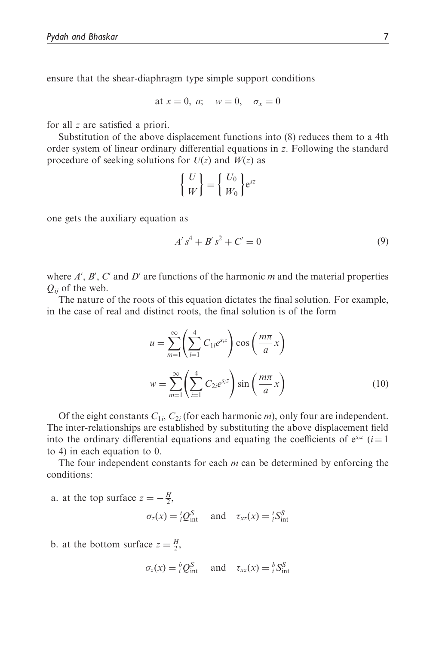ensure that the shear-diaphragm type simple support conditions

at 
$$
x = 0
$$
, a;  $w = 0$ ,  $\sigma_x = 0$ 

for all z are satisfied a priori.

Substitution of the above displacement functions into (8) reduces them to a 4th order system of linear ordinary differential equations in z. Following the standard procedure of seeking solutions for  $U(z)$  and  $W(z)$  as

$$
\left\{\begin{array}{c} U \\ W \end{array}\right\} = \left\{\begin{array}{c} U_0 \\ W_0 \end{array}\right\} e^{sz}
$$

one gets the auxiliary equation as

$$
A' s^4 + B' s^2 + C' = 0 \tag{9}
$$

where  $A'$ ,  $B'$ ,  $C'$  and  $D'$  are functions of the harmonic m and the material properties  $Q_{ii}$  of the web.

The nature of the roots of this equation dictates the final solution. For example, in the case of real and distinct roots, the final solution is of the form

$$
u = \sum_{m=1}^{\infty} \left( \sum_{i=1}^{4} C_{1i} e^{s_i z} \right) \cos \left( \frac{m\pi}{a} x \right)
$$

$$
w = \sum_{m=1}^{\infty} \left( \sum_{i=1}^{4} C_{2i} e^{s_i z} \right) \sin \left( \frac{m\pi}{a} x \right)
$$
(10)

Of the eight constants  $C_{1i}$ ,  $C_{2i}$  (for each harmonic *m*), only four are independent. The inter-relationships are established by substituting the above displacement field into the ordinary differential equations and equating the coefficients of  $e^{s_1z}$  (*i* = 1 to 4) in each equation to 0.

The four independent constants for each  $m$  can be determined by enforcing the conditions:

- a. at the top surface  $z = -\frac{H}{2}$ ,  $\sigma_z(x) = {^t_i}Q_{\text{int}}^S$  and  $\tau_{xz}(x) = {^t_i}S_{\text{int}}^S$
- b. at the bottom surface  $z = \frac{H}{2}$ ,

$$
\sigma_z(x) = {}^b_i Q^S_{\text{int}}
$$
 and  $\tau_{xz}(x) = {}^b_i S^S_{\text{int}}$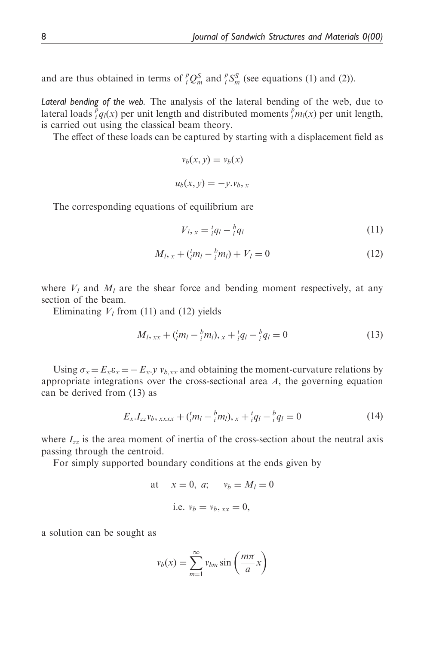and are thus obtained in terms of  ${}_{i}^{p}Q_{m}^{S}$  and  ${}_{i}^{p}S_{m}^{S}$  (see equations (1) and (2)).

Lateral bending of the web. The analysis of the lateral bending of the web, due to lateral loads  $\frac{p}{i}q_i(x)$  per unit length and distributed moments  $\frac{p}{i}m_i(x)$  per unit length, is carried out using the classical beam theory.

The effect of these loads can be captured by starting with a displacement field as

$$
v_b(x, y) = v_b(x)
$$

$$
u_b(x, y) = -y \cdot v_{b, x}
$$

The corresponding equations of equilibrium are

$$
V_{l,x} = \frac{t}{l}q_l - \frac{b}{l}q_l \tag{11}
$$

$$
M_{l,x} + \left( \, l m_l - \, l m_l \right) + V_l = 0 \tag{12}
$$

where  $V_l$  and  $M_l$  are the shear force and bending moment respectively, at any section of the beam.

Eliminating  $V_l$  from (11) and (12) yields

$$
M_{l,xx} + \binom{l}{i}m_l - \frac{b}{i}m_l, x + \frac{t}{i}q_l - \frac{b}{i}q_l = 0 \tag{13}
$$

Using  $\sigma_x = E_x \varepsilon_x = -E_x \cdot y \varepsilon_{b,xx}$  and obtaining the moment-curvature relations by appropriate integrations over the cross-sectional area  $A$ , the governing equation can be derived from (13) as

$$
E_x.I_{zz}v_b, x_{xxx} + \binom{t}{i}m_l - \frac{b}{i}m_l, x + \frac{t}{i}q_l - \frac{b}{i}q_l = 0 \tag{14}
$$

where  $I_{zz}$  is the area moment of inertia of the cross-section about the neutral axis passing through the centroid.

For simply supported boundary conditions at the ends given by

at 
$$
x = 0
$$
, a;  $v_b = M_l = 0$   
i.e.  $v_b = v_b$ ,  $xx = 0$ ,

a solution can be sought as

$$
v_b(x) = \sum_{m=1}^{\infty} v_{bm} \sin\left(\frac{m\pi}{a}x\right)
$$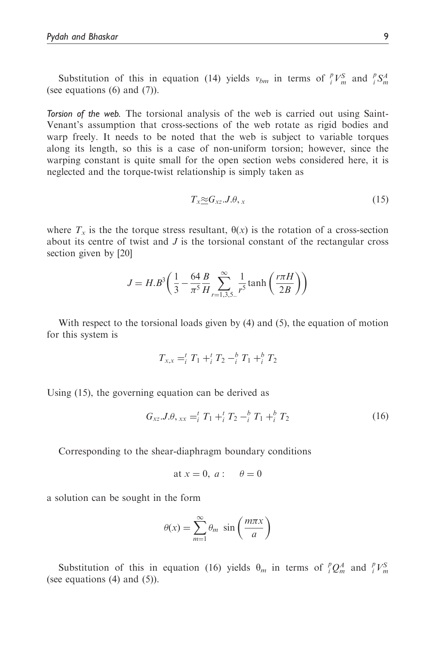Substitution of this in equation (14) yields  $v_{bm}$  in terms of  $^p_i V_m^S$  and  $^p_i S_m^A$ (see equations  $(6)$  and  $(7)$ ).

Torsion of the web. The torsional analysis of the web is carried out using Saint-Venant's assumption that cross-sections of the web rotate as rigid bodies and warp freely. It needs to be noted that the web is subject to variable torques along its length, so this is a case of non-uniform torsion; however, since the warping constant is quite small for the open section webs considered here, it is neglected and the torque-twist relationship is simply taken as

$$
T_x \underline{\approx} G_{xz}.J.\theta, x \tag{15}
$$

where  $T_x$  is the the torque stress resultant,  $\theta(x)$  is the rotation of a cross-section about its centre of twist and  $J$  is the torsional constant of the rectangular cross section given by [20]

$$
J = H.B^3 \left( \frac{1}{3} - \frac{64}{\pi^5} \frac{B}{H} \sum_{r=1,3,5..}^{\infty} \frac{1}{r^5} \tanh\left(\frac{r\pi H}{2B}\right) \right)
$$

With respect to the torsional loads given by  $(4)$  and  $(5)$ , the equation of motion for this system is

$$
T_{x,x} =_i^t T_1 +_i^t T_2 -_i^b T_1 +_i^b T_2
$$

Using (15), the governing equation can be derived as

$$
G_{xz}.J.\theta,{}_{xx} =^t_i T_1 +^t_i T_2 -^b_i T_1 +^b_i T_2 \tag{16}
$$

Corresponding to the shear-diaphragm boundary conditions

at 
$$
x = 0
$$
,  $a$ :  $\theta = 0$ 

a solution can be sought in the form

$$
\theta(x) = \sum_{m=1}^{\infty} \theta_m \sin\left(\frac{m\pi x}{a}\right)
$$

Substitution of this in equation (16) yields  $\theta_m$  in terms of  ${}^p_iQ_m^A$  and  ${}^p_iV_m^S$ (see equations  $(4)$  and  $(5)$ ).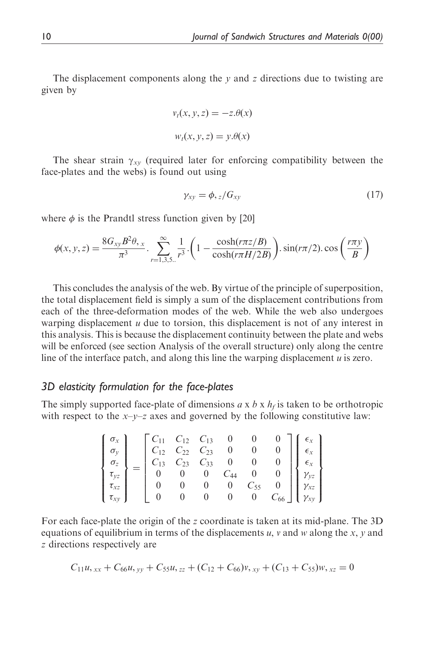The displacement components along the  $y$  and  $z$  directions due to twisting are given by

$$
v_t(x, y, z) = -z.\theta(x)
$$

$$
w_t(x, y, z) = y.\theta(x)
$$

The shear strain  $\gamma_{xy}$  (required later for enforcing compatibility between the face-plates and the webs) is found out using

$$
\gamma_{xy} = \phi_{,z}/G_{xy} \tag{17}
$$

where  $\phi$  is the Prandtl stress function given by [20]

$$
\phi(x, y, z) = \frac{8G_{xy}B^2\theta, x}{\pi^3} \cdot \sum_{r=1,3,5..}^{\infty} \frac{1}{r^3} \cdot \left(1 - \frac{\cosh(r\pi z/B)}{\cosh(r\pi H/2B)}\right) \cdot \sin(r\pi/2) \cdot \cos\left(\frac{r\pi y}{B}\right)
$$

This concludes the analysis of the web. By virtue of the principle of superposition, the total displacement field is simply a sum of the displacement contributions from each of the three-deformation modes of the web. While the web also undergoes warping displacement  $u$  due to torsion, this displacement is not of any interest in this analysis. This is because the displacement continuity between the plate and webs will be enforced (see section Analysis of the overall structure) only along the centre line of the interface patch, and along this line the warping displacement  $u$  is zero.

#### 3D elasticity formulation for the face-plates

The simply supported face-plate of dimensions  $a \times b \times h_f$  is taken to be orthotropic with respect to the  $x-y-z$  axes and governed by the following constitutive law:

$$
\begin{bmatrix}\n\sigma_x \\
\sigma_y \\
\sigma_z \\
\tau_{yz} \\
\tau_{xz} \\
\tau_{xy}\n\end{bmatrix} = \begin{bmatrix}\nC_{11} & C_{12} & C_{13} & 0 & 0 & 0 \\
C_{12} & C_{22} & C_{23} & 0 & 0 & 0 \\
C_{13} & C_{23} & C_{33} & 0 & 0 & 0 \\
0 & 0 & 0 & C_{44} & 0 & 0 \\
0 & 0 & 0 & 0 & C_{55} & 0 \\
0 & 0 & 0 & 0 & 0 & C_{66}\n\end{bmatrix} \begin{bmatrix}\n\epsilon_x \\
\epsilon_x \\
\epsilon_x \\
\gamma_{yz} \\
\gamma_{xz} \\
\gamma_{xy}\n\end{bmatrix}
$$

For each face-plate the origin of the z coordinate is taken at its mid-plane. The 3D equations of equilibrium in terms of the displacements  $u$ ,  $v$  and  $w$  along the  $x$ ,  $y$  and z directions respectively are

$$
C_{11}u_{,xx} + C_{66}u_{,yy} + C_{55}u_{,zz} + (C_{12} + C_{66})v_{,xy} + (C_{13} + C_{55})w_{,xz} = 0
$$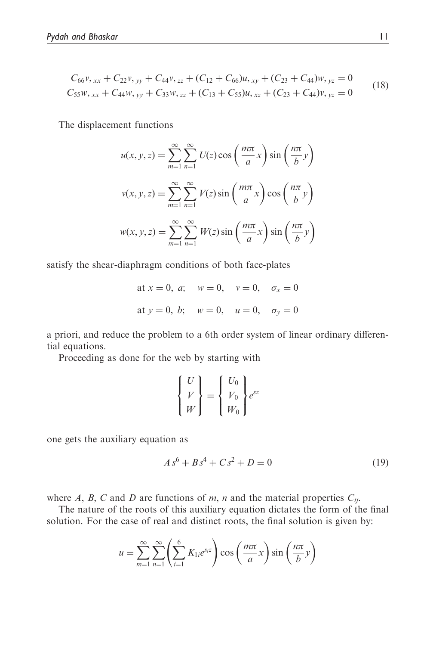$$
C_{66}v_{,xx} + C_{22}v_{,yy} + C_{44}v_{,zz} + (C_{12} + C_{66})u_{,xy} + (C_{23} + C_{44})w_{,yz} = 0
$$
  
\n
$$
C_{55}w_{,xx} + C_{44}w_{,yy} + C_{33}w_{,zz} + (C_{13} + C_{55})u_{,xz} + (C_{23} + C_{44})v_{,yz} = 0
$$
\n(18)

The displacement functions

$$
u(x, y, z) = \sum_{m=1}^{\infty} \sum_{n=1}^{\infty} U(z) \cos\left(\frac{m\pi}{a}x\right) \sin\left(\frac{n\pi}{b}y\right)
$$

$$
v(x, y, z) = \sum_{m=1}^{\infty} \sum_{n=1}^{\infty} V(z) \sin\left(\frac{m\pi}{a}x\right) \cos\left(\frac{n\pi}{b}y\right)
$$

$$
w(x, y, z) = \sum_{m=1}^{\infty} \sum_{n=1}^{\infty} W(z) \sin\left(\frac{m\pi}{a}x\right) \sin\left(\frac{n\pi}{b}y\right)
$$

satisfy the shear-diaphragm conditions of both face-plates

at 
$$
x = 0
$$
, a;  $w = 0$ ,  $v = 0$ ,  $\sigma_x = 0$   
at  $y = 0$ , b;  $w = 0$ ,  $u = 0$ ,  $\sigma_y = 0$ 

a priori, and reduce the problem to a 6th order system of linear ordinary differential equations.

Proceeding as done for the web by starting with

$$
\left\{\n \begin{array}{c}\n U \\
 V \\
 W\n \end{array}\n \right\} =\n \left\{\n \begin{array}{c}\n U_0 \\
 V_0 \\
 W_0\n \end{array}\n \right\} e^{sz}
$$

one gets the auxiliary equation as

$$
A s^6 + B s^4 + C s^2 + D = 0 \tag{19}
$$

where A, B, C and D are functions of m, n and the material properties  $C_{ij}$ .

The nature of the roots of this auxiliary equation dictates the form of the final solution. For the case of real and distinct roots, the final solution is given by:

$$
u = \sum_{m=1}^{\infty} \sum_{n=1}^{\infty} \left( \sum_{i=1}^{6} K_{1i} e^{siz} \right) \cos \left( \frac{m\pi}{a} x \right) \sin \left( \frac{n\pi}{b} y \right)
$$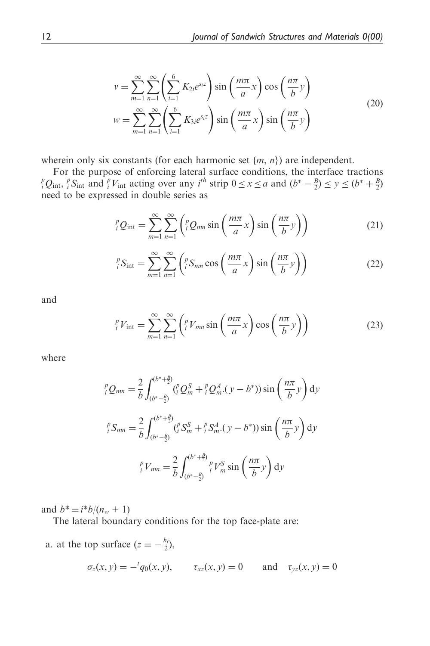$$
v = \sum_{m=1}^{\infty} \sum_{n=1}^{\infty} \left( \sum_{i=1}^{6} K_{2i} e^{s_i z} \right) \sin\left(\frac{m\pi}{a} x\right) \cos\left(\frac{n\pi}{b} y\right)
$$
  

$$
w = \sum_{m=1}^{\infty} \sum_{n=1}^{\infty} \left( \sum_{i=1}^{6} K_{3i} e^{s_i z} \right) \sin\left(\frac{m\pi}{a} x\right) \sin\left(\frac{n\pi}{b} y\right)
$$
 (20)

wherein only six constants (for each harmonic set  $\{m, n\}$ ) are independent.

For the purpose of enforcing lateral surface conditions, the interface tractions  ${}_{i}^{p}Q_{int}$ ,  ${}_{i}^{p}S_{int}$  and  ${}_{i}^{p}V_{int}$  acting over any  $i^{th}$  strip  $0 \le x \le a$  and  $(b^{*} - \frac{B}{2}) \le y \le (b^{*} + \frac{B}{2})$ need to be expressed in double series as

$$
{}_{i}^{p}Q_{\text{int}} = \sum_{m=1}^{\infty} \sum_{n=1}^{\infty} \left( {}_{i}^{p}Q_{mn} \sin \left( \frac{m\pi}{a} x \right) \sin \left( \frac{n\pi}{b} y \right) \right)
$$
(21)

$$
{}_{i}^{p}S_{\text{int}} = \sum_{m=1}^{\infty} \sum_{n=1}^{\infty} \left( {}_{i}^{p}S_{mn} \cos \left( \frac{m\pi}{a} x \right) \sin \left( \frac{n\pi}{b} y \right) \right)
$$
(22)

and

$$
{}_{i}^{p}V_{\text{int}} = \sum_{m=1}^{\infty} \sum_{n=1}^{\infty} \left( {}_{i}^{p}V_{mn} \sin\left(\frac{m\pi}{a}x\right) \cos\left(\frac{n\pi}{b}y\right) \right)
$$
(23)

where

$$
{}_{i}^{p}Q_{mn} = \frac{2}{b} \int_{(b^{*} - \frac{B}{2})}^{(b^{*} + \frac{B}{2})} ({}_{i}^{p}Q_{m}^{S} + {}_{i}^{p}Q_{m}^{A} \cdot (y - b^{*})) \sin\left(\frac{n\pi}{b}y\right) dy
$$

$$
{}_{i}^{p}S_{mn} = \frac{2}{b} \int_{(b^{*} - \frac{B}{2})}^{(b^{*} + \frac{B}{2})} ({}_{i}^{p}S_{m}^{S} + {}_{i}^{p}S_{m}^{A} \cdot (y - b^{*})) \sin\left(\frac{n\pi}{b}y\right) dy
$$

$$
{}_{i}^{p}V_{mn} = \frac{2}{b} \int_{(b^{*} - \frac{B}{2})}^{(b^{*} + \frac{B}{2})} {}_{i}^{p}V_{m}^{S} \sin\left(\frac{n\pi}{b}y\right) dy
$$

and  $b^* = i^*b/(n_w + 1)$ 

The lateral boundary conditions for the top face-plate are:

a. at the top surface  $(z = -\frac{h_f}{2}),$ 

$$
\sigma_z(x, y) = -{}^t q_0(x, y), \qquad \tau_{xz}(x, y) = 0 \qquad \text{and} \quad \tau_{yz}(x, y) = 0
$$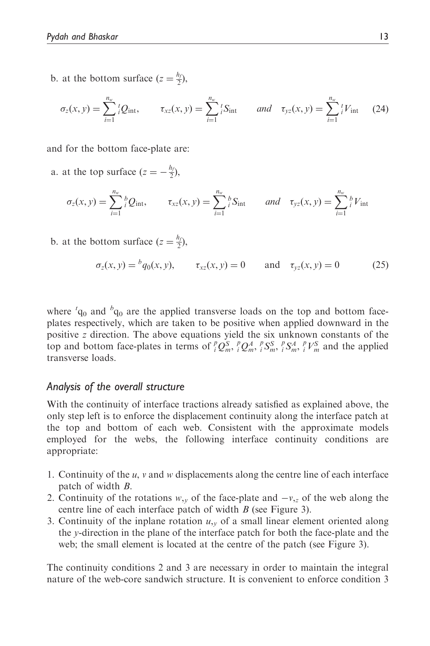b. at the bottom surface  $(z = \frac{h_f}{2})$ ,

$$
\sigma_z(x, y) = \sum_{i=1}^{n_w} {}^t Q_{\text{int}}, \qquad \tau_{xz}(x, y) = \sum_{i=1}^{n_w} {}^t S_{\text{int}} \qquad \text{and} \quad \tau_{yz}(x, y) = \sum_{i=1}^{n_w} {}^t V_{\text{int}} \qquad (24)
$$

and for the bottom face-plate are:

a. at the top surface  $(z = -\frac{h_f}{2}),$ 

$$
\sigma_z(x, y) = \sum_{i=1}^{n_w} {}^b \mathcal{Q}_{int}, \qquad \tau_{xz}(x, y) = \sum_{i=1}^{n_w} {}^b S_{int} \qquad and \quad \tau_{yz}(x, y) = \sum_{i=1}^{n_w} {}^b V_{int}
$$

b. at the bottom surface  $(z = \frac{h_f}{2})$ ,

$$
\sigma_z(x, y) = {}^b q_0(x, y), \qquad \tau_{xz}(x, y) = 0 \qquad \text{and} \quad \tau_{yz}(x, y) = 0
$$
\n(25)

where  ${}^{t}q_0$  and  ${}^{b}q_0$  are the applied transverse loads on the top and bottom faceplates respectively, which are taken to be positive when applied downward in the positive z direction. The above equations yield the six unknown constants of the top and bottom face-plates in terms of  ${}^p_iQ_m^S$ ,  ${}^p_iQ_m^A$ ,  ${}^p_iS_m^S$ ,  ${}^p_iS_m^A$ ,  ${}^p_iV_m^S$  and the applied transverse loads.

#### Analysis of the overall structure

With the continuity of interface tractions already satisfied as explained above, the only step left is to enforce the displacement continuity along the interface patch at the top and bottom of each web. Consistent with the approximate models employed for the webs, the following interface continuity conditions are appropriate:

- 1. Continuity of the u, v and w displacements along the centre line of each interface patch of width B.
- 2. Continuity of the rotations  $w_{,y}$  of the face-plate and  $-v_{,z}$  of the web along the centre line of each interface patch of width B (see Figure 3).
- 3. Continuity of the inplane rotation  $u_{y}$  of a small linear element oriented along the y-direction in the plane of the interface patch for both the face-plate and the web; the small element is located at the centre of the patch (see Figure 3).

The continuity conditions 2 and 3 are necessary in order to maintain the integral nature of the web-core sandwich structure. It is convenient to enforce condition 3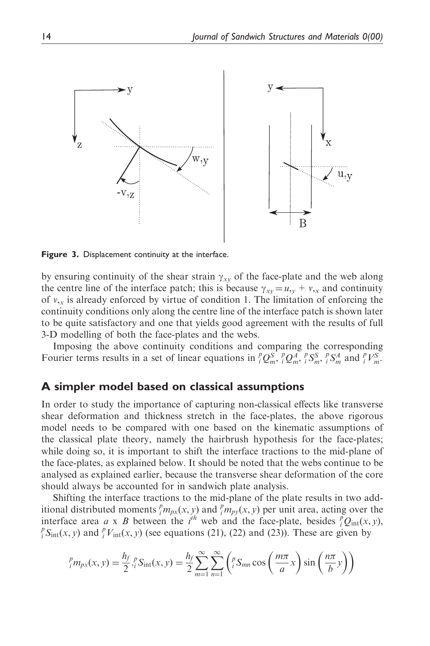

Figure 3. Displacement continuity at the interface.

by ensuring continuity of the shear strain  $\gamma_{xy}$  of the face-plate and the web along the centre line of the interface patch; this is because  $\gamma_{xy} = u_{xy} + v_{yx}$  and continuity of  $v_{xx}$  is already enforced by virtue of condition 1. The limitation of enforcing the continuity conditions only along the centre line of the interface patch is shown later to be quite satisfactory and one that yields good agreement with the results of full 3-D modelling of both the face-plates and the webs.

Imposing the above continuity conditions and comparing the corresponding Fourier terms results in a set of linear equations in  ${}^p_iQ_m^S$ ,  ${}^p_iQ_m^A$ ,  ${}^p_iS_m^S$ ,  ${}^p_jS_m^A$  and  ${}^p_iV_m^S$ .

#### A simpler model based on classical assumptions

In order to study the importance of capturing non-classical effects like transverse shear deformation and thickness stretch in the face-plates, the above rigorous model needs to be compared with one based on the kinematic assumptions of the classical plate theory, namely the hairbrush hypothesis for the face-plates; while doing so, it is important to shift the interface tractions to the mid-plane of the face-plates, as explained below. It should be noted that the webs continue to be analysed as explained earlier, because the transverse shear deformation of the core should always be accounted for in sandwich plate analysis.

Shifting the interface tractions to the mid-plane of the plate results in two additional distributed moments  $_{i}^{p}m_{px}(x, y)$  and  $_{i}^{p}m_{py}(x, y)$  per unit area, acting over the interface area a x B between the  $i^{th}$  web and the face-plate, besides  $\frac{p}{i}Q_{int}(x, y)$ ,  $_{i}^{p}S_{\text{int}}(x, y)$  and  $_{i}^{p}V_{\text{int}}(x, y)$  (see equations (21), (22) and (23)). These are given by

$$
{}_{i}^{p}m_{px}(x, y) = \frac{h_{f}}{2} {}_{i}^{p}S_{\text{int}}(x, y) = \frac{h_{f}}{2} \sum_{m=1}^{\infty} \sum_{n=1}^{\infty} \left( {}_{i}^{p}S_{mn} \cos\left(\frac{m\pi}{a}x\right) \sin\left(\frac{n\pi}{b}y\right) \right)
$$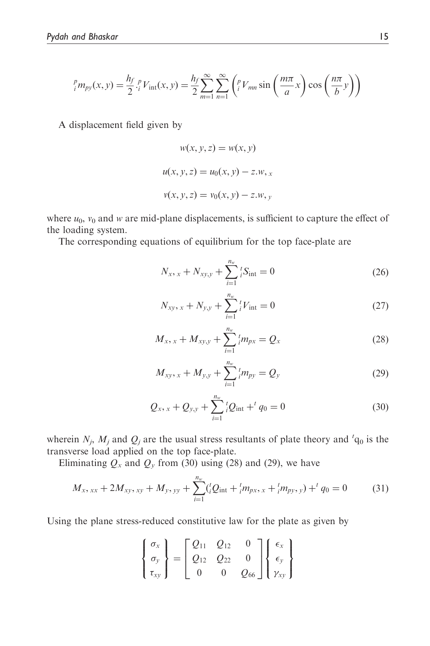$$
{}_{i}^{p}m_{py}(x, y) = \frac{h_f}{2} {}_{i}^{p}V_{int}(x, y) = \frac{h_f}{2} \sum_{m=1}^{\infty} \sum_{n=1}^{\infty} \left( {}_{i}^{p}V_{mn} \sin \left( \frac{m\pi}{a} x \right) \cos \left( \frac{n\pi}{b} y \right) \right)
$$

A displacement field given by

$$
w(x, y, z) = w(x, y)
$$

$$
u(x, y, z) = u_0(x, y) - z.w
$$

$$
v(x, y, z) = v_0(x, y) - z.w
$$

where  $u_0$ ,  $v_0$  and w are mid-plane displacements, is sufficient to capture the effect of the loading system.

The corresponding equations of equilibrium for the top face-plate are

$$
N_{x, x} + N_{xy, y} + \sum_{i=1}^{n_w} i S_{\text{int}} = 0
$$
 (26)

$$
N_{xy},_{x} + N_{y,y} + \sum_{i=1}^{n_w} {}^{t}V_{\text{int}} = 0
$$
\n(27)

$$
M_{x, x} + M_{xy, y} + \sum_{i=1}^{n_w} t_i m_{px} = Q_x \tag{28}
$$

$$
M_{xy, x} + M_{y, y} + \sum_{i=1}^{n_w} t_i m_{py} = Q_y
$$
 (29)

$$
Q_{x,x} + Q_{y,y} + \sum_{i=1}^{n_w} {}^t_i Q_{int} + ^t q_0 = 0
$$
 (30)

wherein  $N_j$ ,  $M_j$  and  $Q_j$  are the usual stress resultants of plate theory and  $q_0$  is the transverse load applied on the top face-plate.

Eliminating  $Q_x$  and  $Q_y$  from (30) using (28) and (29), we have

$$
M_{x,xx} + 2M_{xy,xy} + M_{y,yy} + \sum_{i=1}^{n_w} \left(\frac{1}{2}Q_{int} + \frac{1}{i}m_{px,x} + \frac{1}{i}m_{py,y}\right) + \frac{1}{2}q_0 = 0 \tag{31}
$$

Using the plane stress-reduced constitutive law for the plate as given by

$$
\begin{Bmatrix} \sigma_x \\ \sigma_y \\ \tau_{xy} \end{Bmatrix} = \begin{bmatrix} Q_{11} & Q_{12} & 0 \\ Q_{12} & Q_{22} & 0 \\ 0 & 0 & Q_{66} \end{bmatrix} \begin{Bmatrix} \epsilon_x \\ \epsilon_y \\ \gamma_{xy} \end{Bmatrix}
$$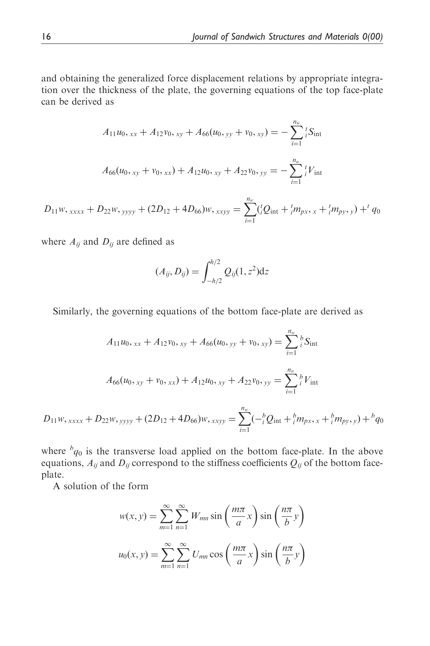and obtaining the generalized force displacement relations by appropriate integration over the thickness of the plate, the governing equations of the top face-plate can be derived as

$$
A_{11}u_0, x_x + A_{12}v_0, x_y + A_{66}(u_0, y_y + v_0, x_y) = -\sum_{i=1}^{n_w} {}^t_i S_{\text{int}}
$$
  

$$
A_{66}(u_0, x_y + v_0, x_x) + A_{12}u_0, x_y + A_{22}v_0, y_y = -\sum_{i=1}^{n_w} {}^t_i V_{\text{int}}
$$

 $D_{11}$ w,  $_{xxxx} + D_{22}$ w,  $_{yyyy} + (2D_{12} + 4D_{66})$ w,  $_{xxyy} = \sum^{n_w}$  $i=1$  $({}^{t}_{i}Q_{\text{int}}+{}^{t}_{i}m_{px}, { }_{x}+{}^{t}_{i}m_{py}, { }_{y})+{}^{t}q_{0}$ 

where  $A_{ij}$  and  $D_{ij}$  are defined as

$$
(A_{ij}, D_{ij}) = \int_{-h/2}^{h/2} Q_{ij}(1, z^2) dz
$$

Similarly, the governing equations of the bottom face-plate are derived as

$$
A_{11}u_{0, xx} + A_{12}v_{0, xy} + A_{66}(u_{0, yy} + v_{0, xy}) = \sum_{i=1}^{n_w} {^{b}_{i}}S_{int}
$$
  

$$
A_{66}(u_{0, xy} + v_{0, xx}) + A_{12}u_{0, xy} + A_{22}v_{0, yy} = \sum_{i=1}^{n_w} {^{b}_{i}}V_{int}
$$

 $D_{11}w_{,xxxx} + D_{22}w_{,yyyy} + (2D_{12} + 4D_{66})w_{,xxyy} = \sum_{k=1}^{n_w}$  $i=1$  $\left(-{}_{i}^{b}Q_{\text{int}}+{}_{i}^{b}m_{px},_{x}+{}_{i}^{b}m_{py},_{y}\right)+{}^{b}q_{0}$ 

where  ${}^bq_0$  is the transverse load applied on the bottom face-plate. In the above equations,  $A_{ij}$  and  $D_{ij}$  correspond to the stiffness coefficients  $Q_{ij}$  of the bottom faceplate.

A solution of the form

$$
w(x, y) = \sum_{m=1}^{\infty} \sum_{n=1}^{\infty} W_{mn} \sin\left(\frac{m\pi}{a}x\right) \sin\left(\frac{n\pi}{b}y\right)
$$

$$
u_0(x, y) = \sum_{m=1}^{\infty} \sum_{n=1}^{\infty} U_{mn} \cos\left(\frac{m\pi}{a}x\right) \sin\left(\frac{n\pi}{b}y\right)
$$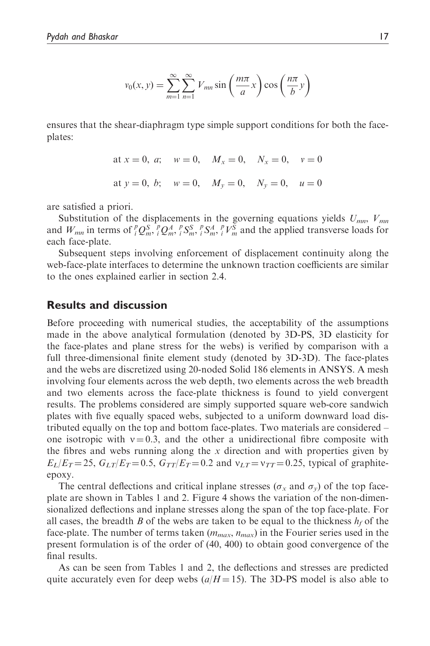$$
v_0(x, y) = \sum_{m=1}^{\infty} \sum_{n=1}^{\infty} V_{mn} \sin\left(\frac{m\pi}{a}x\right) \cos\left(\frac{n\pi}{b}y\right)
$$

ensures that the shear-diaphragm type simple support conditions for both the faceplates:

> at  $x = 0$ , a;  $w = 0$ ,  $M_x = 0$ ,  $N_x = 0$ ,  $v = 0$ at  $y = 0$ , b;  $w = 0$ ,  $M_v = 0$ ,  $N_v = 0$ ,  $u = 0$

are satisfied a priori.

Substitution of the displacements in the governing equations yields  $U_{mn}$ ,  $V_{mn}$ and  $W_{mn}$  in terms of  ${}^p_1Q_m^S$ ,  ${}^p_1Q_m^A$ ,  ${}^p_iS_m^S$ ,  ${}^p_iS_m^A$ ,  ${}^p_iV_m^S$  and the applied transverse loads for each face-plate.

Subsequent steps involving enforcement of displacement continuity along the web-face-plate interfaces to determine the unknown traction coefficients are similar to the ones explained earlier in section 2.4.

## Results and discussion

Before proceeding with numerical studies, the acceptability of the assumptions made in the above analytical formulation (denoted by 3D-PS, 3D elasticity for the face-plates and plane stress for the webs) is verified by comparison with a full three-dimensional finite element study (denoted by 3D-3D). The face-plates and the webs are discretized using 20-noded Solid 186 elements in ANSYS. A mesh involving four elements across the web depth, two elements across the web breadth and two elements across the face-plate thickness is found to yield convergent results. The problems considered are simply supported square web-core sandwich plates with five equally spaced webs, subjected to a uniform downward load distributed equally on the top and bottom face-plates. Two materials are considered – one isotropic with  $v = 0.3$ , and the other a unidirectional fibre composite with the fibres and webs running along the  $x$  direction and with properties given by  $E_L/E_T = 25$ ,  $G_{LT}/E_T = 0.5$ ,  $G_{TT}/E_T = 0.2$  and  $v_{LT} = v_{TT} = 0.25$ , typical of graphiteepoxy.

The central deflections and critical inplane stresses ( $\sigma_x$  and  $\sigma_y$ ) of the top faceplate are shown in Tables 1 and 2. Figure 4 shows the variation of the non-dimensionalized deflections and inplane stresses along the span of the top face-plate. For all cases, the breadth B of the webs are taken to be equal to the thickness  $h_f$  of the face-plate. The number of terms taken  $(m_{max}, n_{max})$  in the Fourier series used in the present formulation is of the order of (40, 400) to obtain good convergence of the final results.

As can be seen from Tables 1 and 2, the deflections and stresses are predicted quite accurately even for deep webs  $(a/H = 15)$ . The 3D-PS model is also able to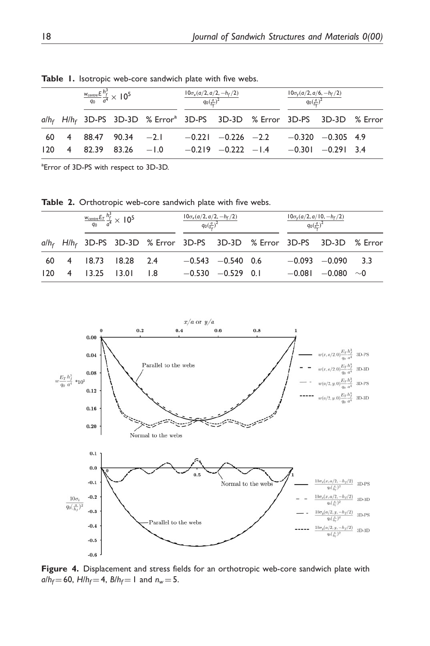|  | $\frac{W_{centre}E}{q_0} \frac{h_f^3}{a^4} \times 10^5$ |                                                  |                                                                                                   | $\frac{10\sigma_x(a/2, a/2, -h_f/2)}{q_0(\frac{a}{hc})^2}$ |  |                                                | $\frac{10\sigma_y(a/2, a/6, -h_f/2)}{q_0(\frac{a}{h_f})^2}$ |  |  |
|--|---------------------------------------------------------|--------------------------------------------------|---------------------------------------------------------------------------------------------------|------------------------------------------------------------|--|------------------------------------------------|-------------------------------------------------------------|--|--|
|  |                                                         |                                                  | $a/h_f$ H/h <sub>f</sub> 3D-PS 3D-3D % Error <sup>a</sup> 3D-PS 3D-3D % Error 3D-PS 3D-3D % Error |                                                            |  |                                                |                                                             |  |  |
|  |                                                         |                                                  | 60 4 88.47 90.34 $-2.1$ $-0.221$ $-0.226$ $-2.2$ $-0.320$ $-0.305$ 4.9                            |                                                            |  |                                                |                                                             |  |  |
|  |                                                         | $120 \quad 4 \quad 82.39 \quad 83.26 \quad -1.0$ |                                                                                                   |                                                            |  | $-0.219$ $-0.222$ $-1.4$ $-0.301$ $-0.291$ 3.4 |                                                             |  |  |

Table 1. Isotropic web-core sandwich plate with five webs.

<sup>a</sup> Error of 3D-PS with respect to 3D-3D.

Table 2. Orthotropic web-core sandwich plate with five webs.

| $\frac{W_{centre}E_T}{q_0}\frac{h_f^3}{q^4}\times 10^5$ |  |  |                                                 |                                                                                      | $10\sigma_x(a/2, a/2, -h_f/2)$<br>$q_0(\frac{a}{hc})^2$ |                     |  | $10\sigma_y(a/2, a/10, -h_f/2)$<br>$q_0(\frac{a}{hc})^2$ |                         |  |
|---------------------------------------------------------|--|--|-------------------------------------------------|--------------------------------------------------------------------------------------|---------------------------------------------------------|---------------------|--|----------------------------------------------------------|-------------------------|--|
|                                                         |  |  |                                                 | $a/h_f$ H/h <sub>f</sub> 3D-PS 3D-3D % Error 3D-PS 3D-3D % Error 3D-PS 3D-3D % Error |                                                         |                     |  |                                                          |                         |  |
|                                                         |  |  | 60 4 18.73 18.28 2.4                            |                                                                                      |                                                         | $-0.543 -0.540 0.6$ |  |                                                          | $-0.093 -0.090$ 3.3     |  |
|                                                         |  |  | $120 \quad 4 \quad 13.25 \quad 13.01 \quad 1.8$ |                                                                                      |                                                         | $-0.530 -0.529 0.1$ |  |                                                          | $-0.081 - 0.080 \sim 0$ |  |



Figure 4. Displacement and stress fields for an orthotropic web-core sandwich plate with  $a/h_f = 60$ ,  $H/h_f = 4$ ,  $B/h_f = 1$  and  $n_w = 5$ .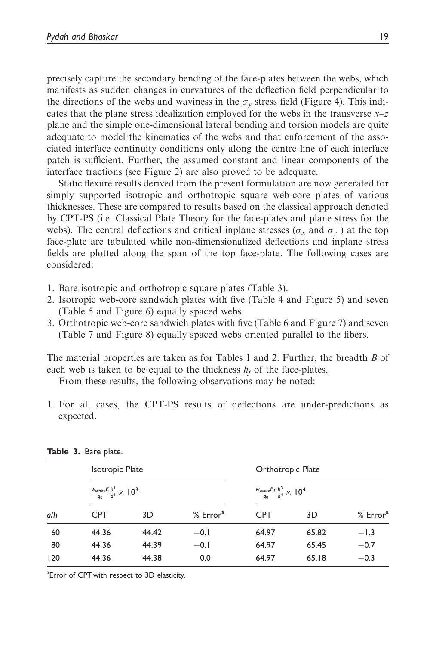precisely capture the secondary bending of the face-plates between the webs, which manifests as sudden changes in curvatures of the deflection field perpendicular to the directions of the webs and waviness in the  $\sigma_v$  stress field (Figure 4). This indicates that the plane stress idealization employed for the webs in the transverse  $x-z$ plane and the simple one-dimensional lateral bending and torsion models are quite adequate to model the kinematics of the webs and that enforcement of the associated interface continuity conditions only along the centre line of each interface patch is sufficient. Further, the assumed constant and linear components of the interface tractions (see Figure 2) are also proved to be adequate.

Static flexure results derived from the present formulation are now generated for simply supported isotropic and orthotropic square web-core plates of various thicknesses. These are compared to results based on the classical approach denoted by CPT-PS (i.e. Classical Plate Theory for the face-plates and plane stress for the webs). The central deflections and critical inplane stresses ( $\sigma_x$  and  $\sigma_y$ ) at the top face-plate are tabulated while non-dimensionalized deflections and inplane stress fields are plotted along the span of the top face-plate. The following cases are considered:

- 1. Bare isotropic and orthotropic square plates (Table 3).
- 2. Isotropic web-core sandwich plates with five (Table 4 and Figure 5) and seven (Table 5 and Figure 6) equally spaced webs.
- 3. Orthotropic web-core sandwich plates with five (Table 6 and Figure 7) and seven (Table 7 and Figure 8) equally spaced webs oriented parallel to the fibers.

The material properties are taken as for Tables 1 and 2. Further, the breadth B of each web is taken to be equal to the thickness  $h_f$  of the face-plates.

From these results, the following observations may be noted:

1. For all cases, the CPT-PS results of deflections are under-predictions as expected.

|     | Isotropic Plate                                       |       |               | Orthotropic Plate |                                                       |                      |  |  |
|-----|-------------------------------------------------------|-------|---------------|-------------------|-------------------------------------------------------|----------------------|--|--|
| a/h | $\frac{W_{centre}E}{q_0} \frac{h^3}{a^4} \times 10^3$ |       |               |                   | $\frac{W_{centre}E_T}{q_0}\frac{h^3}{a^4}\times 10^4$ |                      |  |  |
|     | <b>CPT</b>                                            | 3D    | $%$ Error $a$ | <b>CPT</b>        | 3D                                                    | % Error <sup>a</sup> |  |  |
| 60  | 44.36                                                 | 44.42 | $-0.1$        | 64.97             | 65.82                                                 | $-1.3$               |  |  |
| 80  | 44.36                                                 | 44.39 | $-0.1$        | 64.97             | 65.45                                                 | $-0.7$               |  |  |
| 120 | 44.36                                                 | 44.38 | 0.0           | 64.97             | 65.18                                                 | $-0.3$               |  |  |

| Table 3. Bare plate. |  |  |  |
|----------------------|--|--|--|
|----------------------|--|--|--|

<sup>a</sup> Error of CPT with respect to 3D elasticity.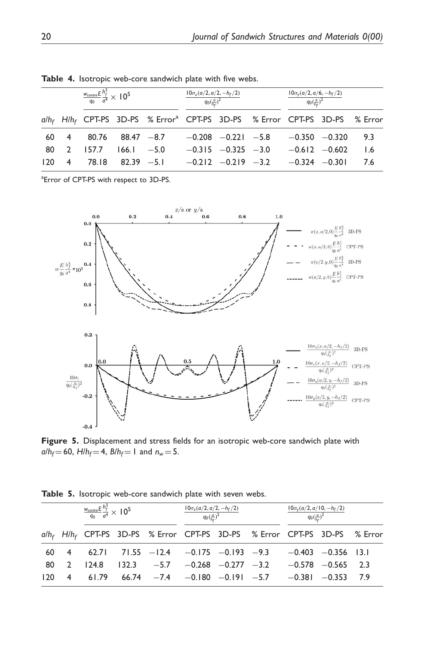|     |                | $\frac{W_{centre}E}{q_0} \frac{h_f^3}{q^4} \times 10^5$ |               |                                                                                                               | $\frac{10\sigma_x(a/2, a/2, -h_f/2)}{q_0(\frac{a}{hc})^2}$ |                          |                                            | $\frac{10\sigma_y(a/2, a/6, -h_f/2)}{q_0(\frac{a}{h_f})^2}$ |                 |     |
|-----|----------------|---------------------------------------------------------|---------------|---------------------------------------------------------------------------------------------------------------|------------------------------------------------------------|--------------------------|--------------------------------------------|-------------------------------------------------------------|-----------------|-----|
|     |                |                                                         |               | a/h <sub>f</sub> H/h <sub>f</sub> CPT-PS 3D-PS % Error <sup>a</sup> CPT-PS 3D-PS % Error CPT-PS 3D-PS % Error |                                                            |                          |                                            |                                                             |                 |     |
|     |                | 60 4 80.76                                              | $88.47 - 8.7$ |                                                                                                               |                                                            | $-0.208$ $-0.221$ $-5.8$ |                                            |                                                             | $-0.350 -0.320$ | 9.3 |
| -80 |                | 2 157.7                                                 | $166.1 - 5.0$ |                                                                                                               |                                                            | $-0.315 -0.325 -3.0$     |                                            | $-0.612 - 0.602$                                            |                 | 1.6 |
| 120 | $\overline{4}$ | 78.18                                                   | $82.39 - 5.1$ |                                                                                                               |                                                            |                          | $-0.212$ $-0.219$ $-3.2$ $-0.324$ $-0.301$ |                                                             |                 | 7.6 |

Table 4. Isotropic web-core sandwich plate with five webs.

a Error of CPT-PS with respect to 3D-PS.



Figure 5. Displacement and stress fields for an isotropic web-core sandwich plate with  $a/h_f = 60$ ,  $H/h_f = 4$ ,  $B/h_f = 1$  and  $n_w = 5$ .

| $\frac{W_{centre}E}{q_0} \frac{h_f^3}{q^4} \times 10^5$ |  |  |                                                                                                  | $10\sigma_x(a/2, a/2, -h_f/2)$<br>$q_0(\frac{a}{h_c})^2$ |  |  | $10\sigma_y(a/2, a/10, -h_f/2)$<br>$q_0(\frac{a}{hc})^2$ |                       |  |
|---------------------------------------------------------|--|--|--------------------------------------------------------------------------------------------------|----------------------------------------------------------|--|--|----------------------------------------------------------|-----------------------|--|
|                                                         |  |  | alh <sub>f</sub> Hlh <sub>f</sub> CPT-PS 3D-PS % Error CPT-PS 3D-PS % Error CPT-PS 3D-PS % Error |                                                          |  |  |                                                          |                       |  |
|                                                         |  |  | 60  4  62.71  71.55 $-12.4$ $-0.175$ $-0.193$ $-9.3$ $-0.403$ $-0.356$ 13.1                      |                                                          |  |  |                                                          |                       |  |
|                                                         |  |  | 80 2 $124.8$ $132.3$ $-5.7$ $-0.268$ $-0.277$ $-3.2$                                             |                                                          |  |  |                                                          | $-0.578$ $-0.565$ 2.3 |  |
|                                                         |  |  | $120$ 4 61.79 66.74 $-7.4$ $-0.180$ $-0.191$ $-5.7$ $-0.381$ $-0.353$ 7.9                        |                                                          |  |  |                                                          |                       |  |

Table 5. Isotropic web-core sandwich plate with seven webs.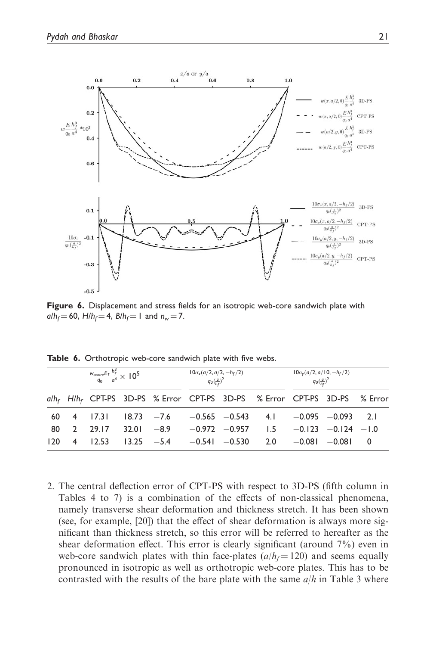

Figure 6. Displacement and stress fields for an isotropic web-core sandwich plate with  $a/h_f = 60$ ,  $H/h_f = 4$ ,  $B/h_f = 1$  and  $n_w = 7$ .

|     | $\frac{W_{centre}E_T}{g_0} \frac{h_f^3}{a^4} \times 10^5$ |               |  | $10\sigma_x(a/2, a/2, -h_f/2)$<br>$q_0(\frac{a}{h_c})^2$ |  |                                                                                                                        | $10\sigma_y(a/2, a/10, -h_f/2)$<br>$q_0(\frac{a}{hc})^2$ |  |  |
|-----|-----------------------------------------------------------|---------------|--|----------------------------------------------------------|--|------------------------------------------------------------------------------------------------------------------------|----------------------------------------------------------|--|--|
|     |                                                           |               |  |                                                          |  | a/h <sub>f</sub> H/h <sub>f</sub> CPT-PS 3D-PS % Error CPT-PS 3D-PS % Error CPT-PS 3D-PS % Error                       |                                                          |  |  |
|     |                                                           |               |  |                                                          |  | 60 4 $17.31$ 18.73 $-7.6$ $-0.565$ $-0.543$ 4.1 $-0.095$ $-0.093$ 2.1                                                  |                                                          |  |  |
| -80 | 2 29.17                                                   | $32.01 - 8.9$ |  |                                                          |  | $-0.972$ $-0.957$ 1.5 $-0.123$ $-0.124$ $-1.0$                                                                         |                                                          |  |  |
| 120 | 4 12.53                                                   |               |  |                                                          |  | $\vert 3.25 \quad -5.4 \quad -0.54 \vert \quad -0.530 \quad \vert 2.0 \quad -0.08 \vert \quad -0.08 \vert \quad 0.530$ |                                                          |  |  |

Table 6. Orthotropic web-core sandwich plate with five webs.

2. The central deflection error of CPT-PS with respect to 3D-PS (fifth column in Tables 4 to 7) is a combination of the effects of non-classical phenomena, namely transverse shear deformation and thickness stretch. It has been shown (see, for example, [20]) that the effect of shear deformation is always more significant than thickness stretch, so this error will be referred to hereafter as the shear deformation effect. This error is clearly significant (around 7%) even in web-core sandwich plates with thin face-plates  $(a/h_f = 120)$  and seems equally pronounced in isotropic as well as orthotropic web-core plates. This has to be contrasted with the results of the bare plate with the same  $a/h$  in Table 3 where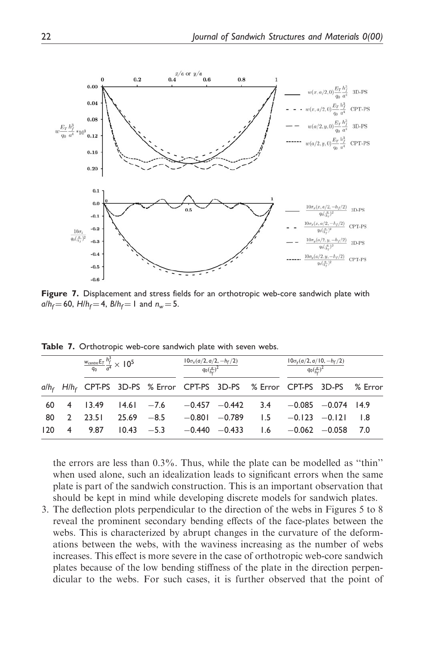

Figure 7. Displacement and stress fields for an orthotropic web-core sandwich plate with  $a/h_f = 60$ ,  $H/h_f = 4$ ,  $B/h_f = 1$  and  $n_w = 5$ .

|     | $\frac{W_{centre}E_T}{q_0} \frac{h_f^3}{a^4} \times 10^5$ |               |  | $10\sigma_x(a/2, a/2, -h_f/2)$<br>$q_0(\frac{a}{hc})^2$ |  |                                                                                                  | $\frac{10\sigma_y(a/2, a/10, -h_f/2)}{q_0(\frac{a}{h_c})^2}$ |  |                  |
|-----|-----------------------------------------------------------|---------------|--|---------------------------------------------------------|--|--------------------------------------------------------------------------------------------------|--------------------------------------------------------------|--|------------------|
|     |                                                           |               |  |                                                         |  | a/h <sub>f</sub> H/h <sub>f</sub> CPT-PS 3D-PS % Error CPT-PS 3D-PS % Error CPT-PS 3D-PS % Error |                                                              |  |                  |
|     |                                                           |               |  |                                                         |  | 60 4 13.49 14.61 $-7.6$ $-0.457$ $-0.442$ 3.4 $-0.085$ $-0.074$ 14.9                             |                                                              |  |                  |
| -80 | 2 23.51                                                   | $25.69 - 8.5$ |  |                                                         |  | $-0.801$ $-0.789$ 1.5 $-0.123$ $-0.121$                                                          |                                                              |  | $\overline{1.8}$ |
| 120 | 4 9.87                                                    |               |  |                                                         |  | $10.43$ $-5.3$ $-0.440$ $-0.433$ $1.6$ $-0.062$ $-0.058$                                         |                                                              |  | 7.0              |

Table 7. Orthotropic web-core sandwich plate with seven webs.

the errors are less than 0.3%. Thus, while the plate can be modelled as ''thin'' when used alone, such an idealization leads to significant errors when the same plate is part of the sandwich construction. This is an important observation that should be kept in mind while developing discrete models for sandwich plates.

3. The deflection plots perpendicular to the direction of the webs in Figures 5 to 8 reveal the prominent secondary bending effects of the face-plates between the webs. This is characterized by abrupt changes in the curvature of the deformations between the webs, with the waviness increasing as the number of webs increases. This effect is more severe in the case of orthotropic web-core sandwich plates because of the low bending stiffness of the plate in the direction perpendicular to the webs. For such cases, it is further observed that the point of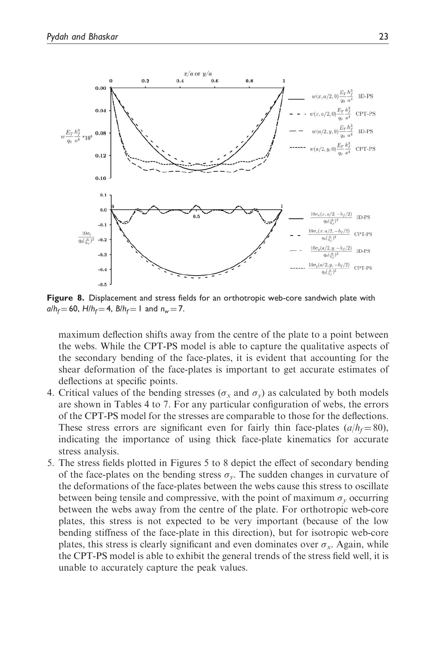

Figure 8. Displacement and stress fields for an orthotropic web-core sandwich plate with  $a/h_f = 60$ ,  $H/h_f = 4$ ,  $B/h_f = 1$  and  $n_w = 7$ .

maximum deflection shifts away from the centre of the plate to a point between the webs. While the CPT-PS model is able to capture the qualitative aspects of the secondary bending of the face-plates, it is evident that accounting for the shear deformation of the face-plates is important to get accurate estimates of deflections at specific points.

- 4. Critical values of the bending stresses ( $\sigma_x$  and  $\sigma_y$ ) as calculated by both models are shown in Tables 4 to 7. For any particular configuration of webs, the errors of the CPT-PS model for the stresses are comparable to those for the deflections. These stress errors are significant even for fairly thin face-plates  $(a/h_f = 80)$ , indicating the importance of using thick face-plate kinematics for accurate stress analysis.
- 5. The stress fields plotted in Figures 5 to 8 depict the effect of secondary bending of the face-plates on the bending stress  $\sigma_{v}$ . The sudden changes in curvature of the deformations of the face-plates between the webs cause this stress to oscillate between being tensile and compressive, with the point of maximum  $\sigma_v$  occurring between the webs away from the centre of the plate. For orthotropic web-core plates, this stress is not expected to be very important (because of the low bending stiffness of the face-plate in this direction), but for isotropic web-core plates, this stress is clearly significant and even dominates over  $\sigma_x$ . Again, while the CPT-PS model is able to exhibit the general trends of the stress field well, it is unable to accurately capture the peak values.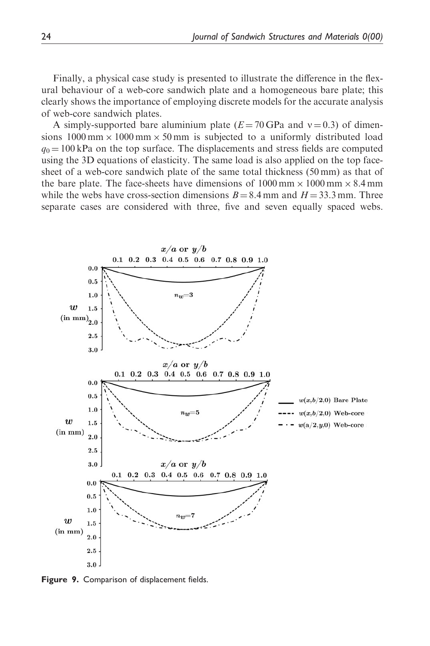Finally, a physical case study is presented to illustrate the difference in the flexural behaviour of a web-core sandwich plate and a homogeneous bare plate; this clearly shows the importance of employing discrete models for the accurate analysis of web-core sandwich plates.

A simply-supported bare aluminium plate ( $E = 70$  GPa and  $v = 0.3$ ) of dimensions  $1000 \text{ mm} \times 1000 \text{ mm} \times 50 \text{ mm}$  is subjected to a uniformly distributed load  $q_0 = 100$  kPa on the top surface. The displacements and stress fields are computed using the 3D equations of elasticity. The same load is also applied on the top facesheet of a web-core sandwich plate of the same total thickness (50 mm) as that of the bare plate. The face-sheets have dimensions of  $1000 \text{ mm} \times 1000 \text{ mm} \times 8.4 \text{ mm}$ while the webs have cross-section dimensions  $B = 8.4$  mm and  $H = 33.3$  mm. Three separate cases are considered with three, five and seven equally spaced webs.



Figure 9. Comparison of displacement fields.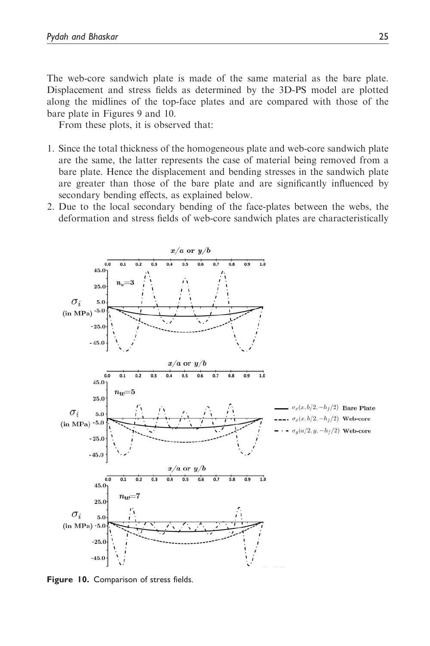The web-core sandwich plate is made of the same material as the bare plate. Displacement and stress fields as determined by the 3D-PS model are plotted along the midlines of the top-face plates and are compared with those of the bare plate in Figures 9 and 10.

From these plots, it is observed that:

- 1. Since the total thickness of the homogeneous plate and web-core sandwich plate are the same, the latter represents the case of material being removed from a bare plate. Hence the displacement and bending stresses in the sandwich plate are greater than those of the bare plate and are significantly influenced by secondary bending effects, as explained below.
- 2. Due to the local secondary bending of the face-plates between the webs, the deformation and stress fields of web-core sandwich plates are characteristically



Figure 10. Comparison of stress fields.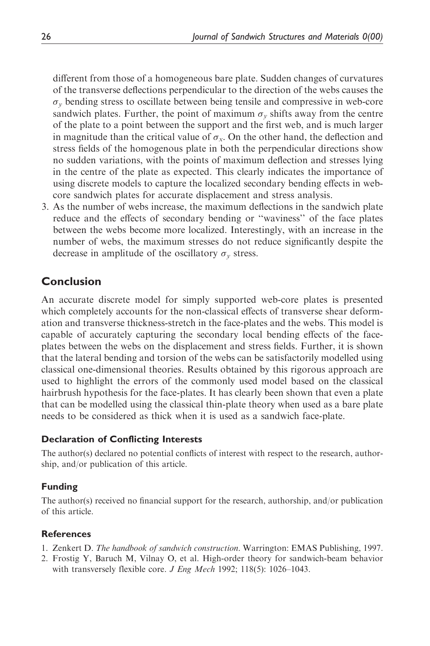different from those of a homogeneous bare plate. Sudden changes of curvatures of the transverse deflections perpendicular to the direction of the webs causes the  $\sigma_{v}$  bending stress to oscillate between being tensile and compressive in web-core sandwich plates. Further, the point of maximum  $\sigma_{v}$  shifts away from the centre of the plate to a point between the support and the first web, and is much larger in magnitude than the critical value of  $\sigma_y$ . On the other hand, the deflection and stress fields of the homogenous plate in both the perpendicular directions show no sudden variations, with the points of maximum deflection and stresses lying in the centre of the plate as expected. This clearly indicates the importance of using discrete models to capture the localized secondary bending effects in webcore sandwich plates for accurate displacement and stress analysis.

3. As the number of webs increase, the maximum deflections in the sandwich plate reduce and the effects of secondary bending or ''waviness'' of the face plates between the webs become more localized. Interestingly, with an increase in the number of webs, the maximum stresses do not reduce significantly despite the decrease in amplitude of the oscillatory  $\sigma_{v}$  stress.

# Conclusion

An accurate discrete model for simply supported web-core plates is presented which completely accounts for the non-classical effects of transverse shear deformation and transverse thickness-stretch in the face-plates and the webs. This model is capable of accurately capturing the secondary local bending effects of the faceplates between the webs on the displacement and stress fields. Further, it is shown that the lateral bending and torsion of the webs can be satisfactorily modelled using classical one-dimensional theories. Results obtained by this rigorous approach are used to highlight the errors of the commonly used model based on the classical hairbrush hypothesis for the face-plates. It has clearly been shown that even a plate that can be modelled using the classical thin-plate theory when used as a bare plate needs to be considered as thick when it is used as a sandwich face-plate.

# Declaration of Conflicting Interests

The author(s) declared no potential conflicts of interest with respect to the research, authorship, and/or publication of this article.

# Funding

The author(s) received no financial support for the research, authorship, and/or publication of this article.

# **References**

- 1. Zenkert D. The handbook of sandwich construction. Warrington: EMAS Publishing, 1997.
- 2. Frostig Y, Baruch M, Vilnay O, et al. High-order theory for sandwich-beam behavior with transversely flexible core. J Eng Mech 1992; 118(5): 1026-1043.